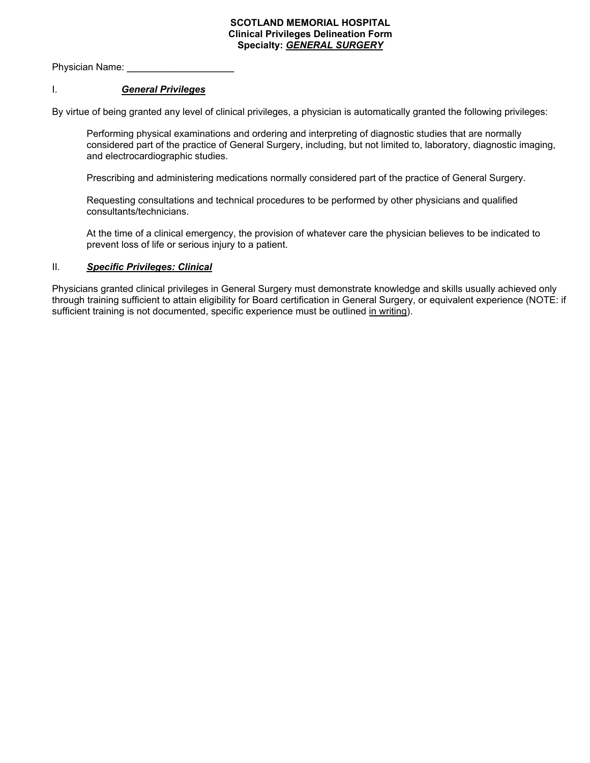### **SCOTLAND MEMORIAL HOSPITAL Clinical Privileges Delineation Form Specialty:** *GENERAL SURGERY*

Physician Name:

## I. *General Privileges*

By virtue of being granted any level of clinical privileges, a physician is automatically granted the following privileges:

Performing physical examinations and ordering and interpreting of diagnostic studies that are normally considered part of the practice of General Surgery, including, but not limited to, laboratory, diagnostic imaging, and electrocardiographic studies.

Prescribing and administering medications normally considered part of the practice of General Surgery.

Requesting consultations and technical procedures to be performed by other physicians and qualified consultants/technicians.

At the time of a clinical emergency, the provision of whatever care the physician believes to be indicated to prevent loss of life or serious injury to a patient.

### II. *Specific Privileges: Clinical*

Physicians granted clinical privileges in General Surgery must demonstrate knowledge and skills usually achieved only through training sufficient to attain eligibility for Board certification in General Surgery, or equivalent experience (NOTE: if sufficient training is not documented, specific experience must be outlined in writing).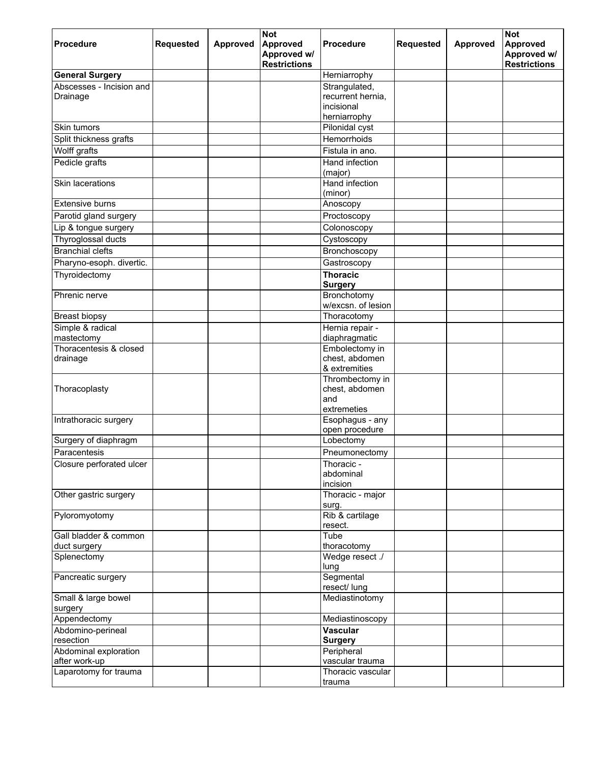|                                                    |                  |          | <b>Not</b>                     |                                      |                  |          | <b>Not</b>              |
|----------------------------------------------------|------------------|----------|--------------------------------|--------------------------------------|------------------|----------|-------------------------|
| <b>Procedure</b>                                   | <b>Requested</b> | Approved | <b>Approved</b><br>Approved w/ | <b>Procedure</b>                     | <b>Requested</b> | Approved | Approved<br>Approved w/ |
|                                                    |                  |          | <b>Restrictions</b>            |                                      |                  |          | <b>Restrictions</b>     |
| <b>General Surgery</b><br>Abscesses - Incision and |                  |          |                                | Herniarrophy<br>Strangulated,        |                  |          |                         |
| Drainage                                           |                  |          |                                | recurrent hernia,                    |                  |          |                         |
|                                                    |                  |          |                                | incisional                           |                  |          |                         |
|                                                    |                  |          |                                | herniarrophy                         |                  |          |                         |
| Skin tumors                                        |                  |          |                                | Pilonidal cyst                       |                  |          |                         |
| Split thickness grafts                             |                  |          |                                | Hemorrhoids                          |                  |          |                         |
| Wolff grafts                                       |                  |          |                                | Fistula in ano.                      |                  |          |                         |
| Pedicle grafts                                     |                  |          |                                | Hand infection                       |                  |          |                         |
|                                                    |                  |          |                                | (major)                              |                  |          |                         |
| Skin lacerations                                   |                  |          |                                | Hand infection<br>(minor)            |                  |          |                         |
| <b>Extensive burns</b>                             |                  |          |                                | Anoscopy                             |                  |          |                         |
| Parotid gland surgery                              |                  |          |                                | Proctoscopy                          |                  |          |                         |
| Lip & tongue surgery                               |                  |          |                                | Colonoscopy                          |                  |          |                         |
| Thyroglossal ducts                                 |                  |          |                                | Cystoscopy                           |                  |          |                         |
| <b>Branchial clefts</b>                            |                  |          |                                | Bronchoscopy                         |                  |          |                         |
| Pharyno-esoph. divertic.                           |                  |          |                                | Gastroscopy                          |                  |          |                         |
| Thyroidectomy                                      |                  |          |                                | <b>Thoracic</b>                      |                  |          |                         |
|                                                    |                  |          |                                | <b>Surgery</b>                       |                  |          |                         |
| Phrenic nerve                                      |                  |          |                                | Bronchotomy                          |                  |          |                         |
|                                                    |                  |          |                                | w/excsn. of lesion                   |                  |          |                         |
| <b>Breast biopsy</b><br>Simple & radical           |                  |          |                                | Thoracotomy<br>Hernia repair -       |                  |          |                         |
| mastectomy                                         |                  |          |                                | diaphragmatic                        |                  |          |                         |
| Thoracentesis & closed                             |                  |          |                                | Embolectomy in                       |                  |          |                         |
| drainage                                           |                  |          |                                | chest, abdomen                       |                  |          |                         |
|                                                    |                  |          |                                | & extremities                        |                  |          |                         |
|                                                    |                  |          |                                | Thrombectomy in<br>chest, abdomen    |                  |          |                         |
| Thoracoplasty                                      |                  |          |                                | and                                  |                  |          |                         |
|                                                    |                  |          |                                | extremeties                          |                  |          |                         |
| Intrathoracic surgery                              |                  |          |                                | Esophagus - any                      |                  |          |                         |
|                                                    |                  |          |                                | open procedure                       |                  |          |                         |
| Surgery of diaphragm                               |                  |          |                                | Lobectomy                            |                  |          |                         |
| Paracentesis                                       |                  |          |                                | Pneumonectomy                        |                  |          |                         |
| Closure perforated ulcer                           |                  |          |                                | Thoracic -<br>abdominal              |                  |          |                         |
|                                                    |                  |          |                                | incision                             |                  |          |                         |
| Other gastric surgery                              |                  |          |                                | Thoracic - major                     |                  |          |                         |
|                                                    |                  |          |                                | surg.                                |                  |          |                         |
| Pyloromyotomy                                      |                  |          |                                | Rib & cartilage                      |                  |          |                         |
| Gall bladder & common                              |                  |          |                                | resect.<br>Tube                      |                  |          |                         |
| duct surgery                                       |                  |          |                                | thoracotomy                          |                  |          |                         |
| Splenectomy                                        |                  |          |                                | Wedge resect ./                      |                  |          |                         |
|                                                    |                  |          |                                | lung                                 |                  |          |                         |
| Pancreatic surgery                                 |                  |          |                                | Segmental                            |                  |          |                         |
| Small & large bowel                                |                  |          |                                | resect/ lung<br>Mediastinotomy       |                  |          |                         |
| surgery                                            |                  |          |                                |                                      |                  |          |                         |
| Appendectomy                                       |                  |          |                                | Mediastinoscopy                      |                  |          |                         |
| Abdomino-perineal                                  |                  |          |                                | <b>Vascular</b>                      |                  |          |                         |
| resection                                          |                  |          |                                | <b>Surgery</b>                       |                  |          |                         |
| Abdominal exploration                              |                  |          |                                | Peripheral                           |                  |          |                         |
| after work-up<br>Laparotomy for trauma             |                  |          |                                | vascular trauma<br>Thoracic vascular |                  |          |                         |
|                                                    |                  |          |                                | trauma                               |                  |          |                         |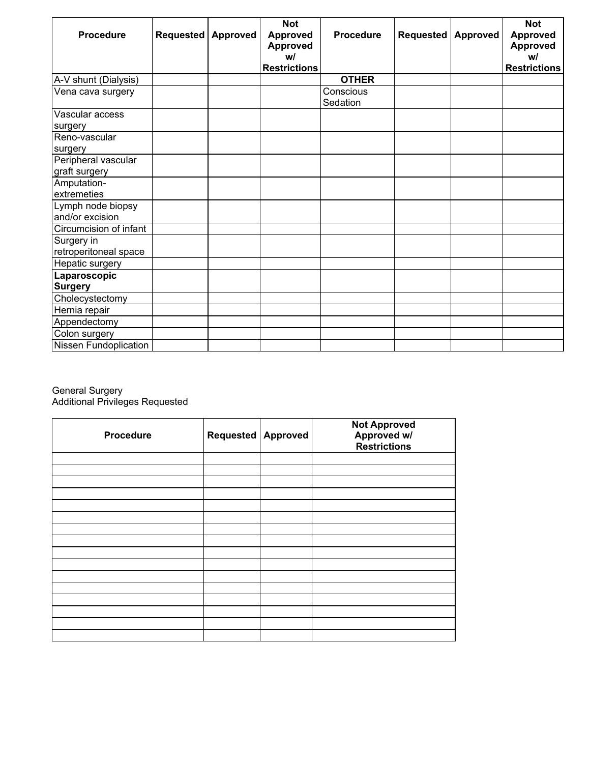| <b>Procedure</b>       | Requested | Approved | <b>Not</b><br><b>Approved</b><br><b>Approved</b><br>w/ | <b>Procedure</b>      | <b>Requested</b> | <b>Approved</b> | <b>Not</b><br><b>Approved</b><br><b>Approved</b><br>w/ |
|------------------------|-----------|----------|--------------------------------------------------------|-----------------------|------------------|-----------------|--------------------------------------------------------|
|                        |           |          | <b>Restrictions</b>                                    |                       |                  |                 | <b>Restrictions</b>                                    |
| A-V shunt (Dialysis)   |           |          |                                                        | <b>OTHER</b>          |                  |                 |                                                        |
| Vena cava surgery      |           |          |                                                        | Conscious<br>Sedation |                  |                 |                                                        |
| Vascular access        |           |          |                                                        |                       |                  |                 |                                                        |
| surgery                |           |          |                                                        |                       |                  |                 |                                                        |
| Reno-vascular          |           |          |                                                        |                       |                  |                 |                                                        |
| surgery                |           |          |                                                        |                       |                  |                 |                                                        |
| Peripheral vascular    |           |          |                                                        |                       |                  |                 |                                                        |
| graft surgery          |           |          |                                                        |                       |                  |                 |                                                        |
| Amputation-            |           |          |                                                        |                       |                  |                 |                                                        |
| extremeties            |           |          |                                                        |                       |                  |                 |                                                        |
| Lymph node biopsy      |           |          |                                                        |                       |                  |                 |                                                        |
| and/or excision        |           |          |                                                        |                       |                  |                 |                                                        |
| Circumcision of infant |           |          |                                                        |                       |                  |                 |                                                        |
| Surgery in             |           |          |                                                        |                       |                  |                 |                                                        |
| retroperitoneal space  |           |          |                                                        |                       |                  |                 |                                                        |
| Hepatic surgery        |           |          |                                                        |                       |                  |                 |                                                        |
| Laparoscopic           |           |          |                                                        |                       |                  |                 |                                                        |
| <b>Surgery</b>         |           |          |                                                        |                       |                  |                 |                                                        |
| Cholecystectomy        |           |          |                                                        |                       |                  |                 |                                                        |
| Hernia repair          |           |          |                                                        |                       |                  |                 |                                                        |
| Appendectomy           |           |          |                                                        |                       |                  |                 |                                                        |
| Colon surgery          |           |          |                                                        |                       |                  |                 |                                                        |
| Nissen Fundoplication  |           |          |                                                        |                       |                  |                 |                                                        |

#### General Surgery Additional Privileges Requested

| Procedure | Requested   Approved | <b>Not Approved</b><br>Approved w/<br>Restrictions |
|-----------|----------------------|----------------------------------------------------|
|           |                      |                                                    |
|           |                      |                                                    |
|           |                      |                                                    |
|           |                      |                                                    |
|           |                      |                                                    |
|           |                      |                                                    |
|           |                      |                                                    |
|           |                      |                                                    |
|           |                      |                                                    |
|           |                      |                                                    |
|           |                      |                                                    |
|           |                      |                                                    |
|           |                      |                                                    |
|           |                      |                                                    |
|           |                      |                                                    |